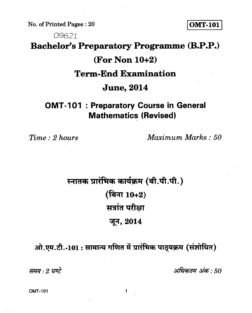**No. of Printed Pages : 20 OMT-101** 

## 09621 **Bachelor's Preparatory Programme (B.P.P.) (For Non 10+2) Term-End Examination June, 2014**

## **OMT-101 : Preparatory Course in General Mathematics (Revised)**

*Time : 2 hours Maximum Marks : 50* 

## स्नातक प्रारंभिक कार्यक्रम (बी.पी.पी.) **(बिना 10+2)** *tain* परीक्षा **T4, 2014**

**.**  ओ.एम.टी.-101 : सामान्य गणित में प्रारंभिक पाठ्**यक्रम (संशोधित)** 

**FifTrel: 2** *./u2* **: 50**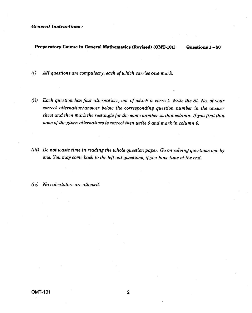## *General Instructions :*

**Preparatory Course in General Mathematics (Revised) (OMT-101) Questions 1- <sup>50</sup>**

*(i) All questions are compulsory, each of which carries one mark.* 

- *(ii) Each question has four alternatives, one of which is correct. Write the Sl. No. of your correct alternative/answer below the corresponding question number in the answer sheet and then mark the rectangle for the same number in that column. If you find that none of the given alternatives is correct then write 0 and mark in column 0.*
- *(iii) Do not waste time in reading the whole question paper. Go on solving questions one by one. You may come back to the left out questions, if you have time at the end.*
- *(iv) No calculators are allowed.*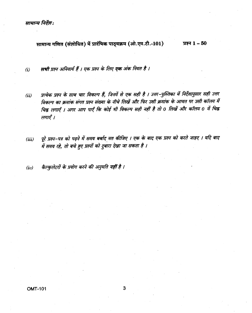सामान्य निर्देश:

सामान्य गणित (संशोधित) में प्रारंभिक पाठ्यक्रम (ओ.एम.टी.-101) प्रश्न  $1 - 50$ 

सभी प्रश्न अनिवार्य हैं । एक प्रश्न के लिए **एक** अंक नियत है ।  $(i)$ 

- प्रत्येक प्रश्न के साथ चार विकल्प हैं, जिनमें से एक सही है । उत्तर-पुस्तिका में निर्देशानुसार सही उत्तर  $(ii)$ विकल्प का क्रमांक संगत प्रश्न संख्या के नीचे लिखें और फिर उसी क्रमांक के आयत पर उसी कॉलम में चिह्न लगाएँ । अगर आप पाएँ कि कोई भी विकल्प सही नहीं है तो 0 लिखें और कॉलम 0 में चिह्न लगाएँ ।
- पूरे प्रश्न–पत्र को पढ़ने में समय बर्बाद मत कीजिए । एक के बाद एक प्रश्न को करते जाइए । यदि बाद  $(iii)$ में समय रहे, तो बचे हुए प्रश्नों को दुबारा देखा जा सकता है ।
- कैल्कुलेटरों के प्रयोग करने की अनुमति नहीं है ।  $(iv)$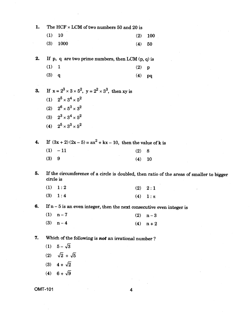| 1. | The HCF $\times$ LCM of two numbers 50 and 20 is                                                       |     |         |
|----|--------------------------------------------------------------------------------------------------------|-----|---------|
|    | (1)<br>10                                                                                              | (2) | 100     |
|    | (3)<br>1000                                                                                            | (4) | 50      |
| 2. | If p, q are two prime numbers, then LCM $(p, q)$ is                                                    |     |         |
|    | (1)<br>$\mathbf{1}$                                                                                    | (2) | p       |
|    | (3)<br>$\mathbf{q}$                                                                                    | (4) | pq      |
| 3. | If $x = 2^3 \times 3 \times 5^2$ , $y = 2^2 \times 3^3$ , then xy is                                   |     |         |
|    | (1) $2^5 \times 3^4 \times 5^2$                                                                        |     |         |
|    | (2) $2^6 \times 5^3 \times 3^2$                                                                        |     |         |
|    | (3) $2^3 \times 3^4 \times 5^2$                                                                        |     |         |
|    | (4) $2^5 \times 3^3 \times 5^2$                                                                        |     |         |
| 4. | If $(3x + 2)(2x - 5) = ax^2 + kx - 10$ , then the value of k is                                        |     |         |
|    | (1)<br>$-11$                                                                                           | (2) | 8       |
|    | 9<br>(3)                                                                                               | (4) | 10      |
| 5. | If the circumference of a circle is doubled, then ratio of the areas of smaller to bigger<br>circle is |     |         |
|    | (1)<br>1:2                                                                                             | (2) | 2:1     |
|    | (3)<br>1:4                                                                                             | (4) | $1:\pi$ |
| 6. | If $n-5$ is an even integer, then the next consecutive even integer is                                 |     |         |
|    | (1)<br>$n-7$                                                                                           | (2) | $n-3$   |
|    | (3)<br>$\mathbf{n-4}$                                                                                  | (4) | $n + 2$ |
| 7. | Which of the following is <b>not</b> an irrational number?                                             |     |         |
|    | $5-\sqrt{3}$<br>(1)                                                                                    |     |         |
|    | (2) $\sqrt{2} + \sqrt{5}$                                                                              |     |         |
|    | (3) $4 + \sqrt{2}$                                                                                     |     |         |
|    | (4) $6 + \sqrt{9}$                                                                                     |     |         |
|    |                                                                                                        |     |         |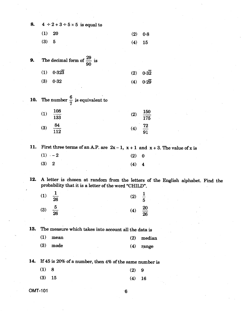| 8.  | $4 \div 2 + 3 \div 5 \times 5$ is equal to           |  |                                                                                                                                             |         |                   |  |  |  |  |
|-----|------------------------------------------------------|--|---------------------------------------------------------------------------------------------------------------------------------------------|---------|-------------------|--|--|--|--|
|     | <b>20</b><br>(1)                                     |  |                                                                                                                                             | (2)     | 0.8               |  |  |  |  |
|     | (3)<br>$\overline{5}$                                |  |                                                                                                                                             | (4)     | 15                |  |  |  |  |
|     |                                                      |  |                                                                                                                                             |         |                   |  |  |  |  |
| 9.  | The decimal form of $\frac{29}{90}$ is               |  |                                                                                                                                             |         |                   |  |  |  |  |
|     | $0.32\overline{3}$<br>(1)                            |  |                                                                                                                                             | (2)     | 0.32              |  |  |  |  |
|     | (3)<br>0.32                                          |  |                                                                                                                                             | (4)     | $0.2\overline{9}$ |  |  |  |  |
|     | <b>10.</b> The number $\frac{6}{7}$ is equivalent to |  |                                                                                                                                             |         |                   |  |  |  |  |
|     | $\frac{108}{133}$<br>(1)                             |  |                                                                                                                                             | (2)     | $\frac{150}{175}$ |  |  |  |  |
|     | $\frac{84}{112}$<br>(3)                              |  |                                                                                                                                             | (4)     | $\frac{72}{91}$   |  |  |  |  |
|     |                                                      |  |                                                                                                                                             |         |                   |  |  |  |  |
|     | $(1) -2$                                             |  | 11. First three terms of an A.P. are $2x-1$ , $x+1$ and $x+3$ . The value of x is                                                           |         |                   |  |  |  |  |
|     | (3)<br>$\boldsymbol{2}$                              |  |                                                                                                                                             | (2)     | $\boldsymbol{0}$  |  |  |  |  |
|     |                                                      |  |                                                                                                                                             | $(4)$ 4 |                   |  |  |  |  |
|     |                                                      |  | 12. A letter is chosen at random from the letters of the English alphabet. Find the<br>probability that it is a letter of the word "CHILD". |         |                   |  |  |  |  |
|     | (1)<br>$26\phantom{.}$                               |  |                                                                                                                                             | (2)     | $\frac{1}{5}$     |  |  |  |  |
|     | $\frac{5}{26}$<br>(3)                                |  |                                                                                                                                             | (4)     | $\frac{20}{26}$   |  |  |  |  |
|     |                                                      |  |                                                                                                                                             |         |                   |  |  |  |  |
| 13. |                                                      |  | The measure which takes into account all the data is                                                                                        |         |                   |  |  |  |  |
|     | (1)<br>${\bf mean}$                                  |  |                                                                                                                                             | (2)     | median            |  |  |  |  |
|     | (3)<br>mode                                          |  |                                                                                                                                             | (4)     | range             |  |  |  |  |
|     |                                                      |  | 14. If 45 is 20% of a number, then 4% of the same number is                                                                                 |         |                   |  |  |  |  |
|     | (1)<br>$\boldsymbol{8}$                              |  |                                                                                                                                             | (2)     | 9                 |  |  |  |  |
|     |                                                      |  |                                                                                                                                             |         |                   |  |  |  |  |
|     |                                                      |  |                                                                                                                                             |         |                   |  |  |  |  |
|     | (3)<br>15<br><b>OMT-101</b>                          |  |                                                                                                                                             | (4)     | <b>16</b>         |  |  |  |  |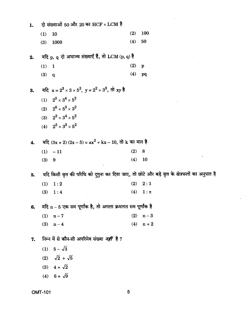दो संख्याओं 50 और 20 का HCF  $\times$  LCM है  $1.$  $(2)$ 100  $(1)$ 10  $(4)$ 50  $(3)$ 1000 यदि p, q दो अभाज्य संख्याएँ हैं, तो LCM (p, q) है  $2.$  $(2)$  p  $(1) 1$  $(4)$  pq  $(3)$  q यदि  $x = 2^3 \times 3 \times 5^2$ ,  $y = 2^2 \times 3^3$ , तो xy है 3. (1)  $2^5 \times 3^4 \times 5^2$ (2)  $2^6 \times 5^3 \times 3^2$ (3)  $2^3 \times 3^4 \times 5^2$ (4)  $2^5 \times 3^3 \times 5^2$ 4. यदि  $(3x + 2)(2x - 5) = ax^2 + kx - 10$ , तो k का मान है  $(1) -11$  $(2) 8$  $(4)$  $10$  $(3) 9$ यदि किसी वृत्त की परिधि को दूगुना कर दिया जाए, तो छोटे और बड़े वृत्त के क्षेत्रफलों का अनुपात है 5.  $(1) 1:2$  $(2) 2:1$  $(3) \quad 1:4$ (4)  $1:\pi$ यदि n - 5 एक सम पूर्णांक है, तो अगला क्रमागत सम पूर्णांक है 6.  $(1)$  n - 7 (2)  $n-3$ (3)  $n-4$  $(4)$  n + 2 निम्न में से कौन-सी अपरिमेय संख्या *नहीं* है ? 7. (1)  $5 - \sqrt{3}$ (2)  $\sqrt{2} + \sqrt{5}$ (3)  $4 + \sqrt{2}$ (4)  $6 + \sqrt{9}$ 

**OMT-101** 

5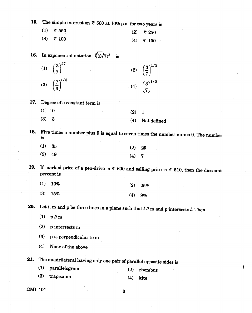| 15. |     | The simple interest on $\bar{\tau}$ 500 at 10% p.a. for two years is |     |                                                                                                                       |
|-----|-----|----------------------------------------------------------------------|-----|-----------------------------------------------------------------------------------------------------------------------|
|     | (1) | ₹ 550                                                                | (2) | ₹ 250                                                                                                                 |
|     | (3) | ₹ 100                                                                | (4) | ₹ 150                                                                                                                 |
| 16. |     | In exponential notation $\sqrt[9]{(3/7)^3}$ is                       |     |                                                                                                                       |
|     |     | (1) $\left(\frac{3}{7}\right)^{27}$ .                                |     | (2) $\left(\frac{3}{7}\right)^{1/3}$                                                                                  |
|     |     | (3) $\left(\frac{7}{3}\right)^{1/3}$                                 |     | (4) $\left(\frac{3}{7}\right)^{1/2}$                                                                                  |
| 17. |     | Degree of a constant term is                                         |     |                                                                                                                       |
|     | (1) | $\bf{0}$                                                             | (2) | $\mathbf{1}$                                                                                                          |
|     | (3) | 3                                                                    | (4) | Not defined                                                                                                           |
| 18. | is  |                                                                      |     | Five times a number plus 5 is equal to seven times the number minus 9. The number                                     |
|     | (1) | 35                                                                   | (2) | 25                                                                                                                    |
|     | (3) | 49                                                                   | (4) | 7                                                                                                                     |
| 19. |     | percent is                                                           |     | If marked price of a pen-drive is $\overline{\tau}$ 600 and selling price is $\overline{\tau}$ 510, then the discount |
|     | (1) | 10%                                                                  | (2) | 25%                                                                                                                   |
|     | (3) | 15%                                                                  | (4) | 9%                                                                                                                    |
| 20. |     |                                                                      |     | Let $l$ , m and p be three lines in a plane such that $l$ $\theta$ m and p intersects $l$ . Then                      |
|     | (1) | $p$ // m                                                             |     |                                                                                                                       |
|     | (2) | p intersects m                                                       |     |                                                                                                                       |
|     | (3) | p is perpendicular to m                                              |     |                                                                                                                       |
|     | (4) | None of the above                                                    |     |                                                                                                                       |
| 21. |     | The quadrilateral having only one pair of parallel opposite sides is |     |                                                                                                                       |
|     | (1) | parallelogram                                                        | (2) | rhombus                                                                                                               |
|     | (3) | trapezium                                                            | (4) | kite                                                                                                                  |
|     |     |                                                                      |     |                                                                                                                       |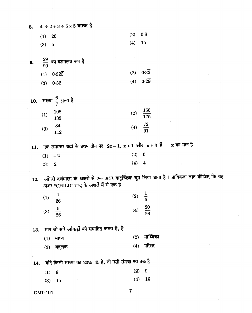| 8.  |                | $4 \div 2 + 3 \div 5 \times 5$ बराबर है                                                                    |     |                                                                                                    |
|-----|----------------|------------------------------------------------------------------------------------------------------------|-----|----------------------------------------------------------------------------------------------------|
|     | (1)            | <b>20</b>                                                                                                  | (2) | 0.8                                                                                                |
|     | (3)            | $\overline{5}$                                                                                             | (4) | 15                                                                                                 |
| 9.  |                | $\frac{29}{90}$ का दशमलव रूप है                                                                            |     |                                                                                                    |
|     | (1)            | 0.323                                                                                                      | (2) | 0.32                                                                                               |
|     | (3)            | 0.32                                                                                                       | (4) | $0.2\overline{9}$                                                                                  |
| 10. |                | संख्या $\frac{6}{7}$ तुल्य है                                                                              |     |                                                                                                    |
|     | (1)            | $\frac{108}{133}$                                                                                          | (2) | $\frac{150}{175}$                                                                                  |
|     | (3)            | $\frac{84}{112}$                                                                                           | (4) | $\frac{72}{91}$                                                                                    |
| 11. |                | एक समान्तर श्रेढ़ी के प्रथम तीन पद $2\text{x}-1$ , $\text{x}+1$ और $\text{x}+3$ हैं । $\text{x}$ का मान है |     |                                                                                                    |
|     | (1)            | $-2$                                                                                                       | (2) | $\boldsymbol{0}$                                                                                   |
|     | (3)            | $\boldsymbol{2}$                                                                                           | (4) | 4                                                                                                  |
| 12. |                | अक्षर "CHILD" शब्द के अक्षरों में से एक है।                                                                |     | अंग्रेज़ी वर्णमाला के अक्षरों से एक अक्षर यादृच्छिक चुन लिया जाता है । प्रायिकता ज्ञात कीजिए कि यह |
|     | (1)            | $\overline{26}$                                                                                            | (2) | $\frac{1}{5}$                                                                                      |
|     | (3)            | Э<br>26                                                                                                    | (4) | $\frac{20}{1}$<br>26                                                                               |
| 13. |                | माप जो सारे आँकड़ों को समाहित करता है, है                                                                  |     |                                                                                                    |
|     | (1)            | माध्य                                                                                                      | (2) | माध्यिका                                                                                           |
|     | (3)            | बहुलक                                                                                                      | (4) | परिसर                                                                                              |
| 14. |                | यदि किसी संख्या का 20% 45 है, तो उसी संख्या का 4% है                                                       |     |                                                                                                    |
|     | (1)            | 8                                                                                                          | (2) | 9                                                                                                  |
|     | (3)            | 15                                                                                                         | (4) | 16                                                                                                 |
|     | <b>OMT-101</b> |                                                                                                            | 7   |                                                                                                    |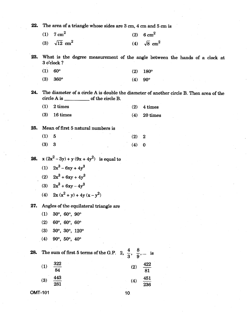| 22. | The area of a triangle whose sides are 3 cm, 4 cm and 5 cm is              |     |                                                                                         |
|-----|----------------------------------------------------------------------------|-----|-----------------------------------------------------------------------------------------|
|     | $7 \text{ cm}^2$<br>(1)                                                    | (2) | $6 \text{ cm}^2$                                                                        |
|     | $\sqrt{12}$ cm <sup>2</sup><br>(3)                                         | (4) | $\sqrt{8}$ cm <sup>2</sup>                                                              |
| 23. | 3 o'clock?                                                                 |     | What is the degree measurement of the angle between the hands of a clock at             |
|     | (1)<br>$60^\circ$                                                          | (2) | 180°                                                                                    |
|     | (3)<br>$360^\circ$                                                         | (4) | $90^{\circ}$                                                                            |
| 24. |                                                                            |     | The diameter of a circle A is double the diameter of another circle B. Then area of the |
|     | 2 times<br>(1)                                                             | (2) | 4 times                                                                                 |
|     | 16 times<br>(3)                                                            | (4) | 20 times                                                                                |
| 25. | Mean of first 5 natural numbers is                                         |     |                                                                                         |
|     | $\left(1\right)$<br>5                                                      | (2) | $\boldsymbol{2}$                                                                        |
|     | (3)<br>3                                                                   | (4) | $\bf{0}$                                                                                |
| 26. | $x(2x^2-3y) + y(9x + 4y^2)$ is equal to                                    |     |                                                                                         |
|     | (1) $2x^3 - 6xy + 4y^3$                                                    |     |                                                                                         |
|     | (2) $2x^3 + 6xy + 4y^3$                                                    |     |                                                                                         |
|     | (3) $2x^3 + 6xy - 4y^3$                                                    |     |                                                                                         |
|     | (4) $2x(x^2 + y) + 4y(x - y^2)$                                            |     |                                                                                         |
| 27. | Angles of the equilateral triangle are                                     |     |                                                                                         |
|     | (1)<br>$30^{\circ}$ , $60^{\circ}$ , $90^{\circ}$                          |     |                                                                                         |
|     | $60^{\circ}$ , $60^{\circ}$ , $60^{\circ}$<br>(2)                          |     |                                                                                         |
|     | 30°, 30°, 120°<br>(3)                                                      |     |                                                                                         |
|     | 90°, 50°, 40°<br>(4)                                                       |     |                                                                                         |
| 28. | The sum of first 5 terms of the G.P. 2, $\frac{4}{3}$ , $\frac{8}{9}$ , is |     |                                                                                         |
|     | 322<br>(1)<br>84                                                           | (2) | $\frac{422}{81}$                                                                        |
|     | $\frac{443}{281}$<br>(3)                                                   | (4) | $\frac{451}{236}$                                                                       |
|     | <b>OMT-101</b>                                                             | 10. |                                                                                         |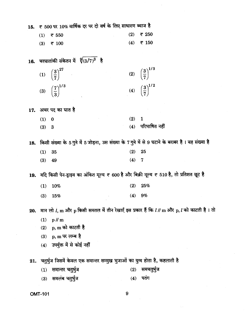15.  $\pm$  500 पर 10% वार्षिक दर पर दो वर्ष के लिए साधारण ब्याज है

| $(1)$ $\overline{5}$ 550 | (2) ₹ 250   |
|--------------------------|-------------|
| $(3)$ ₹ 100              | $(4)$ ₹ 150 |

16. चरघातांकी संकेतन में  $\sqrt[9]{(3/7)^3}$  है

| (1) $\left(\frac{3}{7}\right)^{27}$  | (2) $\left(\frac{3}{7}\right)^{1/3}$ |
|--------------------------------------|--------------------------------------|
| (3) $\left(\frac{7}{3}\right)^{1/3}$ | (4) $\left(\frac{3}{7}\right)^{1/2}$ |

17. अचर पद का घात है

| (1) 0 |  | (2) 1 |                     |
|-------|--|-------|---------------------|
| (3) 3 |  |       | $(4)$ परिभाषित नहीं |

18. किसी संख्या के 5 गुने में 5 जोड़ना, उस संख्या के 7 गुने में से 9 घटाने के बराबर है। वह संख्या है

| (1) 35   | $(2)$ 25 |  |
|----------|----------|--|
| $(3)$ 49 | $(4)$ 7  |  |

19. यदि किसी पेन-ड्राइव का अंकित मूल्य ₹ 600 है और बिक्री मूल्य ₹ 510 है, तो प्रतिशत छूट है

| $(1)$ 10% |  |  | $(2)$ 25% |
|-----------|--|--|-----------|
| $(3)$ 15% |  |  | $(4)$ 9%  |

20. मान लो  $l$ , m और p किसी समतल में तीन रेखाएँ इस प्रकार हैं कि  $l$  // m और p,  $l$  को काटती है। तो

- (1)  $p$  // m
- (2)  $p, m$  को काटती है
- (3)  $p, m$  पर लम्ब है
- $(4)$  उपर्युक्त में से कोई नहीं

21. चतुर्भुज जिसमें केवल एक समान्तर सम्मुख भुजाओं का युग्म होता है, कहलाती है

- (1) समान्तर चतुर्भुज  $(2)$  समचतुर्भुज
- (3) समलंब चतुर्भुज  $(4)$  पतंग

**OMT-101** 

9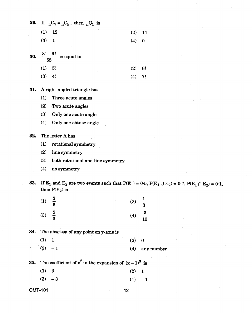| 29.            |     | If ${}_{n}C_{7} = {}_{n}C_{5}$ , then ${}_{n}C_{1}$ is                                                                                                 |     |                               |            |  |
|----------------|-----|--------------------------------------------------------------------------------------------------------------------------------------------------------|-----|-------------------------------|------------|--|
|                | (1) | 12                                                                                                                                                     | (2) | 11                            |            |  |
|                | (3) | $\mathbf{1}$                                                                                                                                           | (4) | $\bf{0}$                      |            |  |
|                |     |                                                                                                                                                        |     |                               |            |  |
| 30.            |     | $\frac{8!-6!}{55}$ is equal to                                                                                                                         |     |                               |            |  |
|                | (1) | 5!                                                                                                                                                     | (2) | 6!                            |            |  |
|                | (3) | 4!                                                                                                                                                     | (4) | 7!                            |            |  |
| 31.            |     | A right-angled triangle has                                                                                                                            |     |                               |            |  |
|                | (1) | Three acute angles                                                                                                                                     |     |                               |            |  |
|                | (2) | Two acute angles                                                                                                                                       |     |                               |            |  |
|                | (3) | Only one acute angle                                                                                                                                   |     |                               |            |  |
|                | (4) | Only one obtuse angle                                                                                                                                  |     |                               |            |  |
| 32.            |     | The letter A has                                                                                                                                       |     |                               |            |  |
|                | (1) | rotational symmetry                                                                                                                                    |     |                               |            |  |
|                | (2) | line symmetry                                                                                                                                          |     |                               |            |  |
|                | (3) | both rotational and line symmetry                                                                                                                      |     |                               |            |  |
|                | (4) | no symmetry                                                                                                                                            |     |                               |            |  |
| 33.            |     | If E <sub>1</sub> and E <sub>2</sub> are two events such that $P(E_1) = 0.5$ , $P(E_1 \cup E_2) = 0.7$ , $P(E_1 \cap E_2) = 0.1$ ,<br>then $P(E_2)$ is |     |                               |            |  |
|                | (1) |                                                                                                                                                        | (2) |                               |            |  |
|                | (3) | $\frac{2}{3}$                                                                                                                                          | (4) | $\overline{\mathbf{3}}$<br>10 |            |  |
| 34.            |     | The abscissa of any point on y-axis is                                                                                                                 |     |                               |            |  |
|                | (1) | $\mathbf{1}$                                                                                                                                           | (2) | $\bf{0}$                      |            |  |
|                | (3) | $-1$                                                                                                                                                   | (4) |                               | any number |  |
| 35.            |     | The coefficient of $x^2$ in the expansion of $(x-1)^3$ is                                                                                              |     |                               |            |  |
|                | (1) | $\bf{3}$                                                                                                                                               | (2) | $\mathbf{1}$                  |            |  |
|                | (3) | $-3$                                                                                                                                                   | (4) | $-1$                          |            |  |
| <b>OMT-101</b> |     |                                                                                                                                                        | 12  |                               |            |  |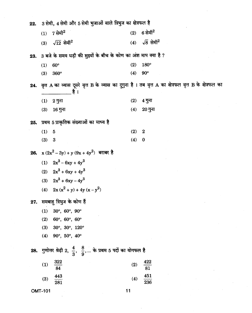| 22. |                | 3 सेमी, 4 सेमी और 5 सेमी भुजाओं वाले त्रिभुज का क्षेत्रफल है                    |     |                                                                                                            |
|-----|----------------|---------------------------------------------------------------------------------|-----|------------------------------------------------------------------------------------------------------------|
|     | (1)            | 7 सेमी $^2$                                                                     | (2) | $6$ सेमी $^2$                                                                                              |
|     | (3)            | $\sqrt{12}$ सेमी <sup>2</sup>                                                   |     | (4) $\sqrt{8}$ सेमी <sup>2</sup>                                                                           |
| 23. |                | 3 बजे के समय घड़ी की सुइयों के बीच के कोण का अंश माप क्या है ?                  |     |                                                                                                            |
|     | (1)            | $60^\circ$                                                                      | (2) | 180°                                                                                                       |
|     | (3)            | 360°                                                                            | (4) | $90^\circ$                                                                                                 |
|     |                | है ।                                                                            |     | 24. वृत्त A का व्यास दूसरे वृत्त B के व्यास का दुगुना है । तब वृत्त A का क्षेत्रफल वृत्त B के क्षेत्रफल का |
|     | (1)            | 2 गुना                                                                          | (2) | 4 गुना                                                                                                     |
|     | (3)            | 16 गुना                                                                         | (4) | $20 \overline{3}$ ना                                                                                       |
| 25. |                | प्रथम 5 प्राकृतिक संख्याओं का माध्य है                                          |     |                                                                                                            |
|     | (1)            | $\overline{5}$                                                                  | (2) | $\boldsymbol{2}$                                                                                           |
|     | (3)            | 3                                                                               | (4) | $\bf{0}$                                                                                                   |
|     |                | 26. $x(2x^2-3y)+y(9x+4y^2)$ बराबर है                                            |     |                                                                                                            |
|     |                | (1) $2x^3 - 6xy + 4y^3$                                                         |     |                                                                                                            |
|     |                | (2) $2x^3 + 6xy + 4y^3$                                                         |     |                                                                                                            |
|     |                | (3) $2x^3 + 6xy - 4y^3$                                                         |     |                                                                                                            |
|     |                | (4) $2x(x^2 + y) + 4y(x - y^2)$                                                 |     |                                                                                                            |
| 27. |                | समबाहु त्रिभुज के कोण हैं                                                       |     |                                                                                                            |
|     | (1)            | $30^{\circ}$ , $60^{\circ}$ , $90^{\circ}$                                      |     |                                                                                                            |
|     | (2)            | 60°, 60°, 60°                                                                   |     |                                                                                                            |
|     | (3)            | 30°, 30°, 120°                                                                  |     |                                                                                                            |
|     | (4)            | 90°, 50°, 40°                                                                   |     |                                                                                                            |
| 28. |                | गुणोत्तर श्रेढ़ी 2, $\frac{4}{3}$ , $\frac{8}{9}$ , के प्रथम 5 पदों का योगफल है |     |                                                                                                            |
|     | (1)            | $\frac{322}{84}$                                                                | (2) | 422<br>$\frac{1}{81}$                                                                                      |
|     | (3)            | $\frac{443}{281}$                                                               | (4) | $\frac{451}{236}$                                                                                          |
|     | <b>OMT-101</b> |                                                                                 | 11  |                                                                                                            |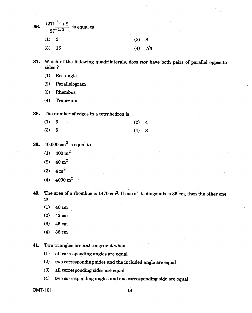| 36. |          | $\frac{(27)^{1/3}+2}{27^{-1/3}}$ is equal to |       |           |
|-----|----------|----------------------------------------------|-------|-----------|
|     | (1) 3    |                                              | (2) 8 |           |
|     | $(3)$ 15 |                                              |       | $(4)$ 7/3 |

**37. Which of the following quadrilaterals, does** *not* **have both pairs of parallel opposite sides ?** 

- **(1) Rectangle**
- **(2) Parallelogram**
- **(3) Rhombus**
- **(4) Trapezium**

**38. The number of edges in a tetrahedron is** 

| (1) 6 | $\mathbf{v}$ | $(2)$ 4 |  |
|-------|--------------|---------|--|
| (3) 5 |              | (4) 8   |  |

- **39.** 40,000 cm<sup>2</sup> is equal to
	- **(1) 400 m2**
	- **(2) 40 m2**
	- **(3) 4 m2**
	- **(4) 4000 m2**

**40. The area of a rhombus is 1470 cm2. If one of its diagonals is 35 cm, then the other one is** 

- **(1) 40 cm**
- **(2) 42 cm**
- **(3) 45 cm**
- **(4) 38 cm**

**41. Two triangles are** *not* **congruent when** 

- **(1) all corresponding angles are equal**
- **(2) two corresponding sides and the included angle are equal**
- **(3) all corresponding sides are equal**
- **(4) two corresponding angles and one corresponding side are equal**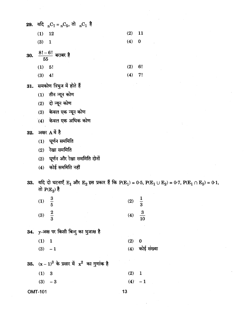| 29. यदि <sub>n</sub> C <sub>7</sub> = <sub>n</sub> C <sub>5</sub> , तो <sub>n</sub> C <sub>1</sub> है                                                                                         |        |                  |  |  |
|-----------------------------------------------------------------------------------------------------------------------------------------------------------------------------------------------|--------|------------------|--|--|
| $(1)$ 12                                                                                                                                                                                      | (2)    | $\overline{11}$  |  |  |
| (3) 1                                                                                                                                                                                         | (4) 0  |                  |  |  |
|                                                                                                                                                                                               |        |                  |  |  |
| 30. $\frac{8!-6!}{55}$ बराबर है                                                                                                                                                               |        |                  |  |  |
| (1) 5!                                                                                                                                                                                        | (2) 6! |                  |  |  |
| $(3)$ 4!                                                                                                                                                                                      | (4)    | - 7!             |  |  |
| 31. समकोण त्रिभुज में होते हैं                                                                                                                                                                |        |                  |  |  |
| $(1)$ तीन न्यून कोण                                                                                                                                                                           |        |                  |  |  |
| $(2)$ दो न्यून कोण                                                                                                                                                                            |        |                  |  |  |
| (3) केवल एक न्यून कोण                                                                                                                                                                         |        |                  |  |  |
| $(4)$ केवल एक अधिक कोण                                                                                                                                                                        |        |                  |  |  |
|                                                                                                                                                                                               |        |                  |  |  |
| 32. अक्षर A में है                                                                                                                                                                            |        |                  |  |  |
| (1) घूर्णन सममिति                                                                                                                                                                             |        |                  |  |  |
| रेखा सममिति<br>(2)                                                                                                                                                                            |        |                  |  |  |
| (3) घूर्णन और रेखा सममिति दोनों                                                                                                                                                               |        |                  |  |  |
| कोई सममिति नहीं<br>(4)                                                                                                                                                                        |        |                  |  |  |
|                                                                                                                                                                                               |        |                  |  |  |
|                                                                                                                                                                                               |        |                  |  |  |
| 33. यदि दो घटनाएँ $E_1$ और $E_2$ इस प्रकार हैं कि P(E <sub>1</sub> ) = 0.5, P(E <sub>1</sub> $\cup$ E <sub>2</sub> ) = 0.7, P(E <sub>1</sub> $\cap$ E <sub>2</sub> ) = 0.1,<br>तो $P(E_2)$ है |        |                  |  |  |
|                                                                                                                                                                                               |        |                  |  |  |
| $\frac{3}{5}$<br>(1)                                                                                                                                                                          | (2)    | $\frac{1}{3}$    |  |  |
| (3)                                                                                                                                                                                           | (4)    |                  |  |  |
| $\frac{2}{3}$                                                                                                                                                                                 |        | $\frac{3}{10}$   |  |  |
| 34. y-अक्ष पर किसी बिन्दु का भुजाक्ष है                                                                                                                                                       |        |                  |  |  |
| (1) 1                                                                                                                                                                                         | (2)    | $\bf{0}$         |  |  |
| $(3) -1$                                                                                                                                                                                      |        | $(4)$ कोई संख्या |  |  |
| 35. $(x-1)^3$ के प्रसार में $x^2$ का गुणांक है                                                                                                                                                |        |                  |  |  |
| (1) 3                                                                                                                                                                                         | (2)    | $\mathbf{1}$     |  |  |
| (3)<br>$-3$                                                                                                                                                                                   |        | $(4) - 1$        |  |  |

 $\label{eq:2.1} \frac{1}{2} \sum_{i=1}^n \frac{1}{2} \sum_{j=1}^n \frac{1}{2} \sum_{j=1}^n \frac{1}{2} \sum_{j=1}^n \frac{1}{2} \sum_{j=1}^n \frac{1}{2} \sum_{j=1}^n \frac{1}{2} \sum_{j=1}^n \frac{1}{2} \sum_{j=1}^n \frac{1}{2} \sum_{j=1}^n \frac{1}{2} \sum_{j=1}^n \frac{1}{2} \sum_{j=1}^n \frac{1}{2} \sum_{j=1}^n \frac{1}{2} \sum_{j=1}^n \frac{$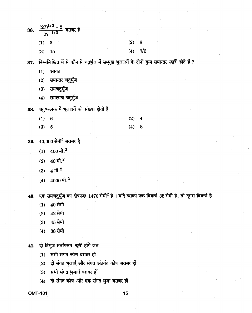| 36. |          | $\frac{(27)^{1/3}+2}{27^{-1/3}}$ बराबर है |  |  |  |       |           |  |
|-----|----------|-------------------------------------------|--|--|--|-------|-----------|--|
|     | (1) 3    |                                           |  |  |  | (2) 8 |           |  |
|     | $(3)$ 15 |                                           |  |  |  |       | $(4)$ 7/3 |  |
|     |          |                                           |  |  |  |       |           |  |

37. निम्नलिखित में से कौन-से चतुर्भुज में सम्मुख भुजाओं के दोनों युग्म समान्तर *नहीं* होते हैं ?

- $(1)$ आयत
- समान्तर चतुर्भुज  $(2)$
- समचतुर्भुज  $(3)$
- समलम्ब चतुर्भुज  $(4)$
- 38. चतुष्फलक में भुजाओं की संख्या होती है
	- $(1)$  $6\phantom{1}6$  $(2)$  $\overline{\mathbf{4}}$ 8
	- $(4)$  $(3)$  $5\phantom{.0}$
- $40,000$  सेमी<sup>2</sup> बराबर है 39.
	- $400$  मी.<sup>2</sup>  $(1)$
	- $40$  मी. $^{2}$  $(2)$
	- $4\,$ मी. $^2$  $(3)$
	- $4000$  मी. $^2$  $(4)$

40. एक समचतुर्भुज का क्षेत्रफल 1470 सेमी<sup>2</sup> है । यदि इसका एक विकर्ण 35 सेमी है, तो दूसरा विकर्ण है

- 40 सेमी  $(1)$
- 42 सेमी  $(2)$
- 45 सेमी  $(3)$
- 38 सेमी  $(4)$
- 41. दो त्रिभुज सर्वांगसम *नहीं* होंगे जब
	- (1) सभी संगत कोण बराबर हों
	- दो संगत भुजाएँ और संगत अंतर्गत कोण बराबर हों  $(2)$
	- सभी संगत भुजाएँ बराबर हों  $(3)$
	- दो संगत कोण और एक संगत भुजा बराबर हों  $(4)$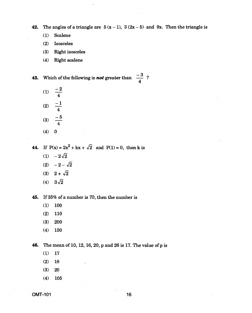**42.** The angles of a triangle are  $5(x-1)$ ,  $3(2x-5)$  and  $9x$ . Then the triangle is

- **(1) Scalene**
- **(2) Isosceles**
- **(3) Right isosceles**
- **(4) Right scalene**

**43.** Which of the following is *not* greater than  $\frac{-3}{4}$ ? **4** 

- $(1)$   $\frac{-2}{4}$ (2)  $-\frac{-1}{4}$ (3)  $\frac{-5}{4}$ **4 4 4**  (2)  $\frac{-1}{4}$ <br>
(3)  $\frac{-5}{4}$ <br>
(4) 0<br>
If P(x) = 2x<sup>2</sup> + kx +  $\sqrt{2}$  and P(1) = 0, then<br>
(1)  $-2\sqrt{2}$ <br>
(2)  $-2-\sqrt{2}$ <br>
(3)  $2+\sqrt{2}$ <br>
(4)  $3\sqrt{2}$ <br>
If 35% of a number is 70, then the number is
- **(4) 0**

**44.** If  $P(x) = 2x^2 + kx + \sqrt{2}$  and  $P(1) = 0$ , then k is

- (1)  $-2\sqrt{2}$
- (2)  $-2-\sqrt{2}$
- $(3)$   $2 + \sqrt{2}$
- 

**45. If 35% of a number is 70, then the number is** 

- **(1) 100**
- **(2) 110**
- **(3) 200**
- **(4) 150**

**46. The mean of 10, 12, 16, 20, p and 26 is 17. The value of p is** 

- **(1) 17**
- **(2) 18 (3) 20**
- **(4) 105**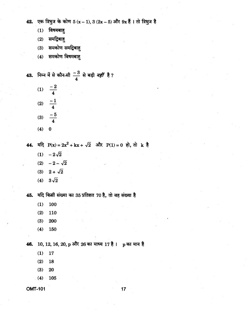42. एक त्रिभुज के कोण  $5(x-1), 3(2x-5)$  और  $9x\frac{3}{5}$  | तो त्रिभुज है

- $(1)$ विषमबाह
- समद्विबाहु  $(2)$
- समकोण समद्विबाहु  $(3)$
- समकोण विषमबाहु  $(4)$

43. निम्न में से कौन-सी 
$$
\frac{-3}{4}
$$
 से बड़ी *नहीं* है?  
\n(1)  $\frac{-2}{4}$ 

- $\overline{\mathbf{4}}$ (2)  $\frac{-1}{4}$  $\frac{-5}{4}$  $(3)$
- $(4) 0$

44.  $\overline{44}$ ,  $\overline{4}$   $P(x) = 2x^2 + kx + \sqrt{2}$  और  $P(1) = 0$  हो, तो  $k$  है

- (1)  $-2\sqrt{2}$
- (2)  $-2-\sqrt{2}$
- (3)  $2 + \sqrt{2}$
- (4)  $3\sqrt{2}$

45. यदि किसी संख्या का 35 प्रतिशत 70 है, तो वह संख्या है

- $(1)$ 100
- 110  $(2)$
- $(3)$ 200
- $(4)$ 150

46. 10, 12, 16, 20, p और 26 का माध्य 17 है। p का मान है

- $(1)$ 17
- $(2)$ 18
- $(3)$ 20
- $(4)$  $-105$

**OMT-101** 

 $17$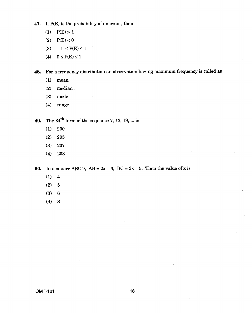- **47.** If P(E) is the probability of an event, then
	- $(1)$   $P(E) > 1$
	- (2)  $P(E) < 0$
	- (3)  $-1 \le P(E) \le 1$
	- (4)  $0 \leq P(E) \leq 1$

**48.** For a frequency distribution an observation having maximum frequency is called as

- (1) mean
- (2) median
- (3) mode
- (4) range
- **49.** The  $34<sup>th</sup>$  term of the sequence 7, 13, 19, ... is
	- (1) 200
	- (2) 205
	- (3) 207
	- (4) 203

**50.** In a square ABCD,  $AB = 2x + 3$ ,  $BC = 3x - 5$ . Then the value of x is

- (1) 4
- (2) 5
- (3) 6
- (4) 8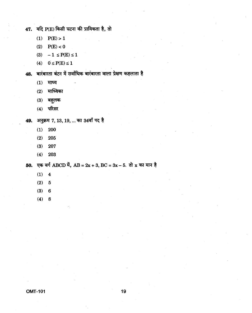47. यदि P(E) किसी घटना की प्रायिकता है, तो

- $(1)$   $P(E) > 1$
- $P(E) < 0$  $(2)$
- (3)  $-1 \leq P(E) \leq 1$
- (4)  $0 \leq P(E) \leq 1$

48. बारंबारता बंटन में सर्वाधिक बारंबारता वाला प्रेक्षण कहलाता है

- $(1)$  माध्य
- $(2)$  माध्यिका
- $(3)$  बहुलक
- (4) परिसर

49. अनुक्रम 7, 13, 19, ... का 34वाँ पद है

- $(1)$  200
- 205  $(2)$
- 207  $(3)$
- $(4)$ 203

50. एक वर्ग ABCD में, AB =  $2x + 3$ , BC =  $3x - 5$ . तो x का मान है

- $(1) 4$
- $(2) 5$
- $(3) 6$
- $(4) 8$